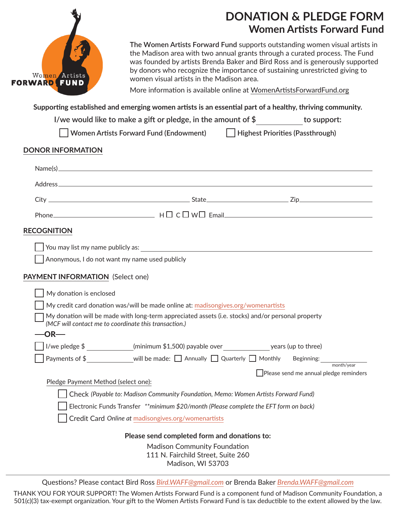

## **DONATION & PLEDGE FORM Women Artists Forward Fund**

**The Women Artists Forward Fund** supports outstanding women visual artists in the Madison area with two annual grants through a curated process. The Fund was founded by artists Brenda Baker and Bird Ross and is generously supported by donors who recognize the importance of sustaining unrestricted giving to women visual artists in the Madison area.

More information is available online at WomenArtistsForwardFund.org

**Supporting established and emerging women artists is an essential part of a healthy, thriving community.**

**I/we would like to make a gift or pledge, in the amount of \$ to support:**

| Women Artists Forward Fund (Endowment) | Highest Priorities (Passthrough) |
|----------------------------------------|----------------------------------|
|----------------------------------------|----------------------------------|

## **DONOR INFORMATION**

|                                                                                   | $Name(s) \qquad \qquad \overbrace{\hspace{1.5cm}} \hspace{1.5cm} Name(s)$                                                                                  |  |  |
|-----------------------------------------------------------------------------------|------------------------------------------------------------------------------------------------------------------------------------------------------------|--|--|
|                                                                                   |                                                                                                                                                            |  |  |
|                                                                                   |                                                                                                                                                            |  |  |
|                                                                                   |                                                                                                                                                            |  |  |
|                                                                                   | <b>RECOGNITION</b>                                                                                                                                         |  |  |
|                                                                                   |                                                                                                                                                            |  |  |
|                                                                                   | Anonymous, I do not want my name used publicly                                                                                                             |  |  |
|                                                                                   | PAYMENT INFORMATION (Select one)                                                                                                                           |  |  |
|                                                                                   | My donation is enclosed                                                                                                                                    |  |  |
| My credit card donation was/will be made online at: madisongives.org/womenartists |                                                                                                                                                            |  |  |
|                                                                                   | My donation will be made with long-term appreciated assets (i.e. stocks) and/or personal property<br>(MCF will contact me to coordinate this transaction.) |  |  |
|                                                                                   | $-OR$                                                                                                                                                      |  |  |
|                                                                                   | I/we pledge \$ _____________(minimum \$1,500) payable over ________________________ years (up to three)                                                    |  |  |
|                                                                                   |                                                                                                                                                            |  |  |
|                                                                                   | Please send me annual pledge reminders                                                                                                                     |  |  |
|                                                                                   | Pledge Payment Method (select one):                                                                                                                        |  |  |
|                                                                                   | Check (Payable to: Madison Community Foundation, Memo: Women Artists Forward Fund)                                                                         |  |  |
|                                                                                   | Electronic Funds Transfer **minimum \$20/month (Please complete the EFT form on back)                                                                      |  |  |
|                                                                                   | Credit Card Online at madisongives.org/womenartists                                                                                                        |  |  |
|                                                                                   | Please send completed form and donations to:                                                                                                               |  |  |
|                                                                                   | <b>Madison Community Foundation</b>                                                                                                                        |  |  |
|                                                                                   | 111 N. Fairchild Street, Suite 260                                                                                                                         |  |  |
|                                                                                   | Madison, WI 53703                                                                                                                                          |  |  |

Questions? Please contact Bird Ross *Bird.WAFF@gmail.com* or Brenda Baker *Brenda.WAFF@gmail.com*

THANK YOU FOR YOUR SUPPORT! The Women Artists Forward Fund is a component fund of Madison Community Foundation, a 501(c)(3) tax-exempt organization. Your gift to the Women Artists Forward Fund is tax deductible to the extent allowed by the law.